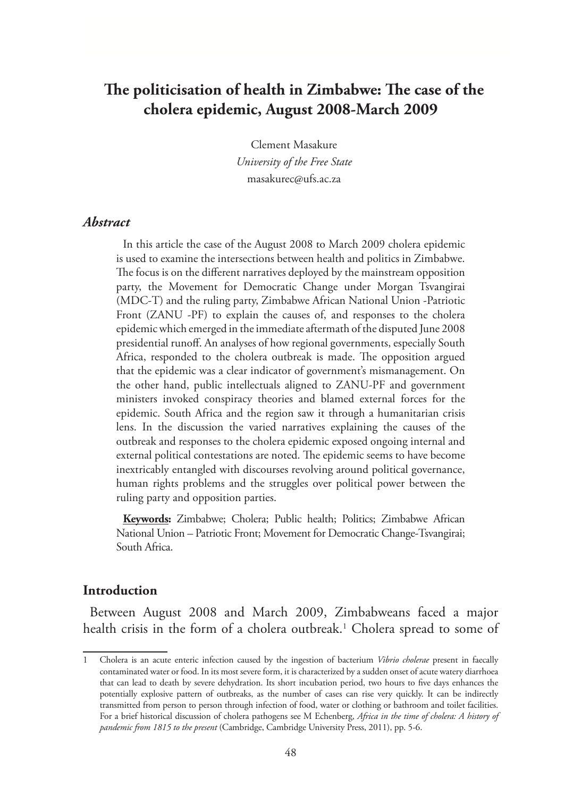# **The politicisation of health in Zimbabwe: The case of the cholera epidemic, August 2008-March 2009**

Clement Masakure *University of the Free State* masakurec@ufs.ac.za

### *Abstract*

In this article the case of the August 2008 to March 2009 cholera epidemic is used to examine the intersections between health and politics in Zimbabwe. The focus is on the different narratives deployed by the mainstream opposition party, the Movement for Democratic Change under Morgan Tsvangirai (MDC-T) and the ruling party, Zimbabwe African National Union -Patriotic Front (ZANU -PF) to explain the causes of, and responses to the cholera epidemic which emerged in the immediate aftermath of the disputed June 2008 presidential runoff. An analyses of how regional governments, especially South Africa, responded to the cholera outbreak is made. The opposition argued that the epidemic was a clear indicator of government's mismanagement. On the other hand, public intellectuals aligned to ZANU-PF and government ministers invoked conspiracy theories and blamed external forces for the epidemic. South Africa and the region saw it through a humanitarian crisis lens. In the discussion the varied narratives explaining the causes of the outbreak and responses to the cholera epidemic exposed ongoing internal and external political contestations are noted. The epidemic seems to have become inextricably entangled with discourses revolving around political governance, human rights problems and the struggles over political power between the ruling party and opposition parties.

**Keywords:** Zimbabwe; Cholera; Public health; Politics; Zimbabwe African National Union – Patriotic Front; Movement for Democratic Change-Tsvangirai; South Africa.

#### **Introduction**

Between August 2008 and March 2009, Zimbabweans faced a major health crisis in the form of a cholera outbreak.1 Cholera spread to some of

<sup>1</sup> Cholera is an acute enteric infection caused by the ingestion of bacterium *Vibrio cholerae* present in faecally contaminated water or food. In its most severe form, it is characterized by a sudden onset of acute watery diarrhoea that can lead to death by severe dehydration. Its short incubation period, two hours to five days enhances the potentially explosive pattern of outbreaks, as the number of cases can rise very quickly. It can be indirectly transmitted from person to person through infection of food, water or clothing or bathroom and toilet facilities. For a brief historical discussion of cholera pathogens see M Echenberg, *Africa in the time of cholera: A history of pandemic from 1815 to the present* (Cambridge, Cambridge University Press, 2011), pp. 5-6.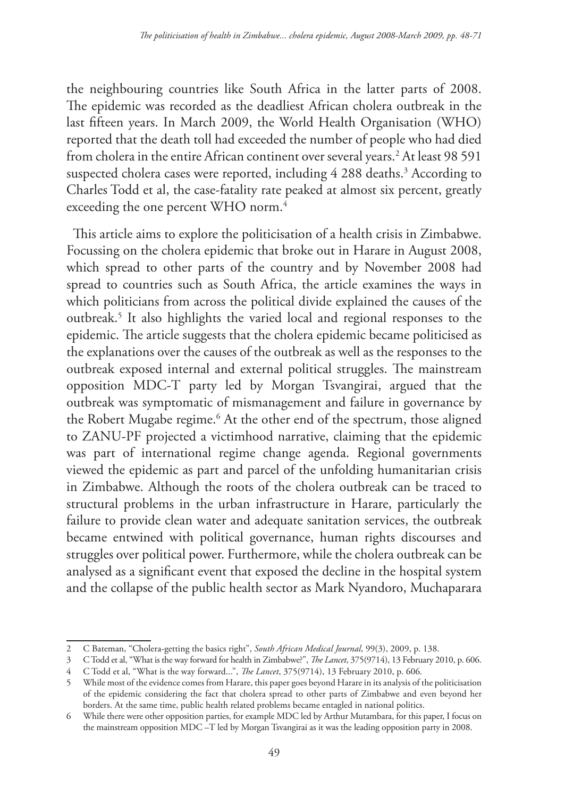the neighbouring countries like South Africa in the latter parts of 2008. The epidemic was recorded as the deadliest African cholera outbreak in the last fifteen years. In March 2009, the World Health Organisation (WHO) reported that the death toll had exceeded the number of people who had died from cholera in the entire African continent over several years.2 At least 98 591 suspected cholera cases were reported, including 4 288 deaths.<sup>3</sup> According to Charles Todd et al, the case-fatality rate peaked at almost six percent, greatly exceeding the one percent WHO norm.<sup>4</sup>

This article aims to explore the politicisation of a health crisis in Zimbabwe. Focussing on the cholera epidemic that broke out in Harare in August 2008, which spread to other parts of the country and by November 2008 had spread to countries such as South Africa, the article examines the ways in which politicians from across the political divide explained the causes of the outbreak.5 It also highlights the varied local and regional responses to the epidemic. The article suggests that the cholera epidemic became politicised as the explanations over the causes of the outbreak as well as the responses to the outbreak exposed internal and external political struggles. The mainstream opposition MDC-T party led by Morgan Tsvangirai, argued that the outbreak was symptomatic of mismanagement and failure in governance by the Robert Mugabe regime.<sup>6</sup> At the other end of the spectrum, those aligned to ZANU-PF projected a victimhood narrative, claiming that the epidemic was part of international regime change agenda. Regional governments viewed the epidemic as part and parcel of the unfolding humanitarian crisis in Zimbabwe. Although the roots of the cholera outbreak can be traced to structural problems in the urban infrastructure in Harare, particularly the failure to provide clean water and adequate sanitation services, the outbreak became entwined with political governance, human rights discourses and struggles over political power. Furthermore, while the cholera outbreak can be analysed as a significant event that exposed the decline in the hospital system and the collapse of the public health sector as Mark Nyandoro, Muchaparara

<sup>2</sup> C Bateman, "Cholera-getting the basics right", *South African Medical Journal*, 99(3), 2009, p. 138.

<sup>3</sup> C Todd et al, "What is the way forward for health in Zimbabwe?", *The Lancet*, 375(9714), 13 February 2010, p. 606.

<sup>4</sup> C Todd et al, "What is the way forward...", *The Lancet*, 375(9714), 13 February 2010, p. 606.

<sup>5</sup> While most of the evidence comes from Harare, this paper goes beyond Harare in its analysis of the politicisation of the epidemic considering the fact that cholera spread to other parts of Zimbabwe and even beyond her borders. At the same time, public health related problems became entagled in national politics.

<sup>6</sup> While there were other opposition parties, for example MDC led by Arthur Mutambara, for this paper, I focus on the mainstream opposition MDC –T led by Morgan Tsvangirai as it was the leading opposition party in 2008.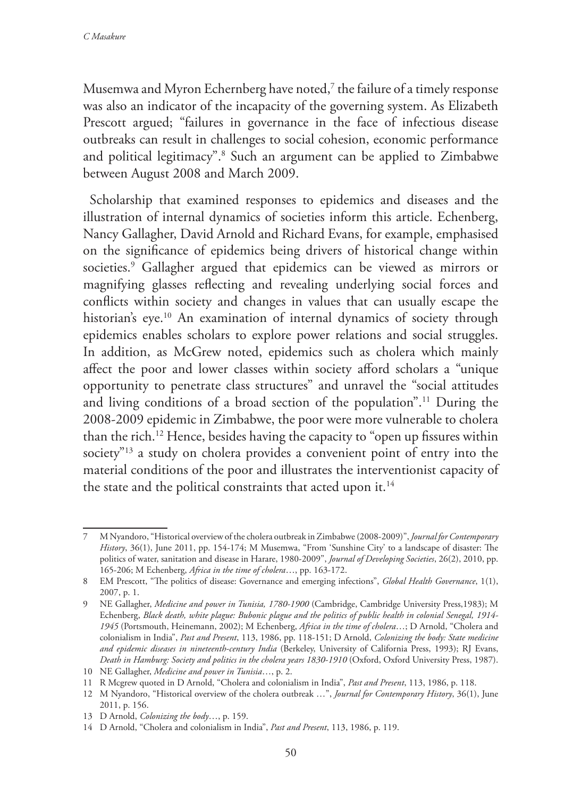Musemwa and Myron Echernberg have noted, $^7$  the failure of a timely response was also an indicator of the incapacity of the governing system. As Elizabeth Prescott argued; "failures in governance in the face of infectious disease outbreaks can result in challenges to social cohesion, economic performance and political legitimacy".8 Such an argument can be applied to Zimbabwe between August 2008 and March 2009.

Scholarship that examined responses to epidemics and diseases and the illustration of internal dynamics of societies inform this article. Echenberg, Nancy Gallagher, David Arnold and Richard Evans, for example, emphasised on the significance of epidemics being drivers of historical change within societies.9 Gallagher argued that epidemics can be viewed as mirrors or magnifying glasses reflecting and revealing underlying social forces and conflicts within society and changes in values that can usually escape the historian's eye.<sup>10</sup> An examination of internal dynamics of society through epidemics enables scholars to explore power relations and social struggles. In addition, as McGrew noted, epidemics such as cholera which mainly affect the poor and lower classes within society afford scholars a "unique opportunity to penetrate class structures" and unravel the "social attitudes and living conditions of a broad section of the population".11 During the 2008-2009 epidemic in Zimbabwe, the poor were more vulnerable to cholera than the rich.12 Hence, besides having the capacity to "open up fissures within society"<sup>13</sup> a study on cholera provides a convenient point of entry into the material conditions of the poor and illustrates the interventionist capacity of the state and the political constraints that acted upon it.<sup>14</sup>

<sup>7</sup> M Nyandoro, "Historical overview of the cholera outbreak in Zimbabwe (2008-2009)", *Journal for Contemporary History*, 36(1), June 2011, pp. 154-174; M Musemwa, "From 'Sunshine City' to a landscape of disaster: The politics of water, sanitation and disease in Harare, 1980-2009", *Journal of Developing Societies*, 26(2), 2010, pp. 165-206; M Echenberg, *Africa in the time of cholera*…, pp. 163-172.

<sup>8</sup> EM Prescott, "The politics of disease: Governance and emerging infections", *Global Health Governance*, 1(1), 2007, p. 1.

<sup>9</sup> NE Gallagher, *Medicine and power in Tunisia, 1780-1900* (Cambridge, Cambridge University Press,1983); M Echenberg, *Black death, white plague: Bubonic plague and the politics of public health in colonial Senegal, 1914- 1945* (Portsmouth, Heinemann, 2002); M Echenberg, *Africa in the time of cholera*…; D Arnold, "Cholera and colonialism in India", *Past and Present*, 113, 1986, pp. 118-151; D Arnold, *Colonizing the body: State medicine and epidemic diseases in nineteenth-century India* (Berkeley, University of California Press, 1993); RJ Evans, *Death in Hamburg: Society and politics in the cholera years 1830-1910* (Oxford, Oxford University Press, 1987).

<sup>10</sup> NE Gallagher, *Medicine and power in Tunisia*…, p. 2.

<sup>11</sup> R Mcgrew quoted in D Arnold, "Cholera and colonialism in India", *Past and Present*, 113, 1986, p. 118.

<sup>12</sup> M Nyandoro, "Historical overview of the cholera outbreak …", *Journal for Contemporary History*, 36(1), June 2011, p. 156.

<sup>13</sup> D Arnold, *Colonizing the body*…, p. 159.

<sup>14</sup> D Arnold, "Cholera and colonialism in India", *Past and Present*, 113, 1986, p. 119.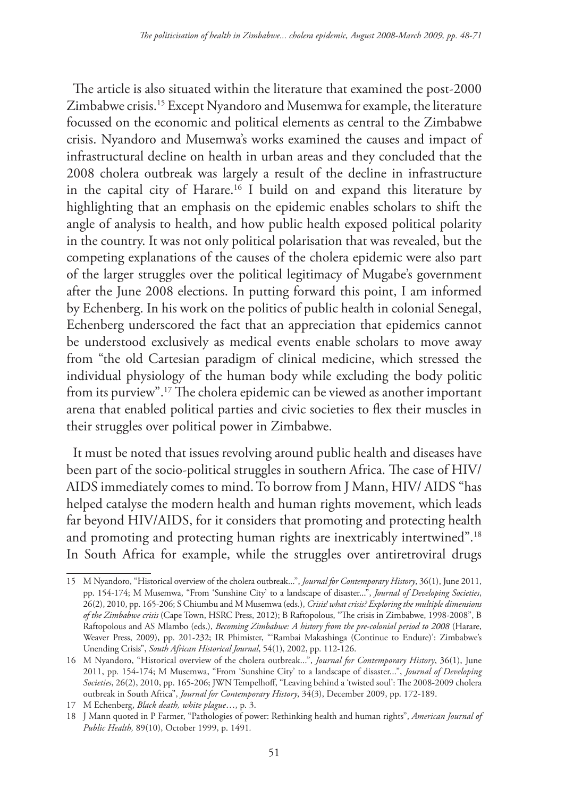The article is also situated within the literature that examined the post-2000 Zimbabwe crisis.15 Except Nyandoro and Musemwa for example, the literature focussed on the economic and political elements as central to the Zimbabwe crisis. Nyandoro and Musemwa's works examined the causes and impact of infrastructural decline on health in urban areas and they concluded that the 2008 cholera outbreak was largely a result of the decline in infrastructure in the capital city of Harare.16 I build on and expand this literature by highlighting that an emphasis on the epidemic enables scholars to shift the angle of analysis to health, and how public health exposed political polarity in the country. It was not only political polarisation that was revealed, but the competing explanations of the causes of the cholera epidemic were also part of the larger struggles over the political legitimacy of Mugabe's government after the June 2008 elections. In putting forward this point, I am informed by Echenberg. In his work on the politics of public health in colonial Senegal, Echenberg underscored the fact that an appreciation that epidemics cannot be understood exclusively as medical events enable scholars to move away from "the old Cartesian paradigm of clinical medicine, which stressed the individual physiology of the human body while excluding the body politic from its purview".17 The cholera epidemic can be viewed as another important arena that enabled political parties and civic societies to flex their muscles in their struggles over political power in Zimbabwe.

It must be noted that issues revolving around public health and diseases have been part of the socio-political struggles in southern Africa. The case of HIV/ AIDS immediately comes to mind. To borrow from J Mann, HIV/ AIDS "has helped catalyse the modern health and human rights movement, which leads far beyond HIV/AIDS, for it considers that promoting and protecting health and promoting and protecting human rights are inextricably intertwined".<sup>18</sup> In South Africa for example, while the struggles over antiretroviral drugs

<sup>15</sup> M Nyandoro, "Historical overview of the cholera outbreak...", *Journal for Contemporary History*, 36(1), June 2011, pp. 154-174; M Musemwa, "From 'Sunshine City' to a landscape of disaster...", *Journal of Developing Societies*, 26(2), 2010, pp. 165-206; S Chiumbu and M Musemwa (eds.), *Crisis! what crisis? Exploring the multiple dimensions of the Zimbabwe crisis* (Cape Town, HSRC Press, 2012); B Raftopolous, "The crisis in Zimbabwe, 1998-2008", B Raftopolous and AS Mlambo (eds.), *Becoming Zimbabwe: A history from the pre-colonial period to 2008* (Harare, Weaver Press, 2009), pp. 201-232; IR Phimister, "'Rambai Makashinga (Continue to Endure)': Zimbabwe's Unending Crisis", *South African Historical Journal*, 54(1), 2002, pp. 112-126.

<sup>16</sup> M Nyandoro, "Historical overview of the cholera outbreak...", *Journal for Contemporary History*, 36(1), June 2011, pp. 154-174; M Musemwa, "From 'Sunshine City' to a landscape of disaster...", *Journal of Developing Societies*, 26(2), 2010, pp. 165-206; JWN Tempelhoff, "Leaving behind a 'twisted soul': The 2008-2009 cholera outbreak in South Africa", *Journal for Contemporary History*, 34(3), December 2009, pp. 172-189.

<sup>17</sup> M Echenberg, *Black death, white plague*…, p. 3.

<sup>18</sup> J Mann quoted in P Farmer, "Pathologies of power: Rethinking health and human rights", *American Journal of Public Health,* 89(10), October 1999, p. 1491*.*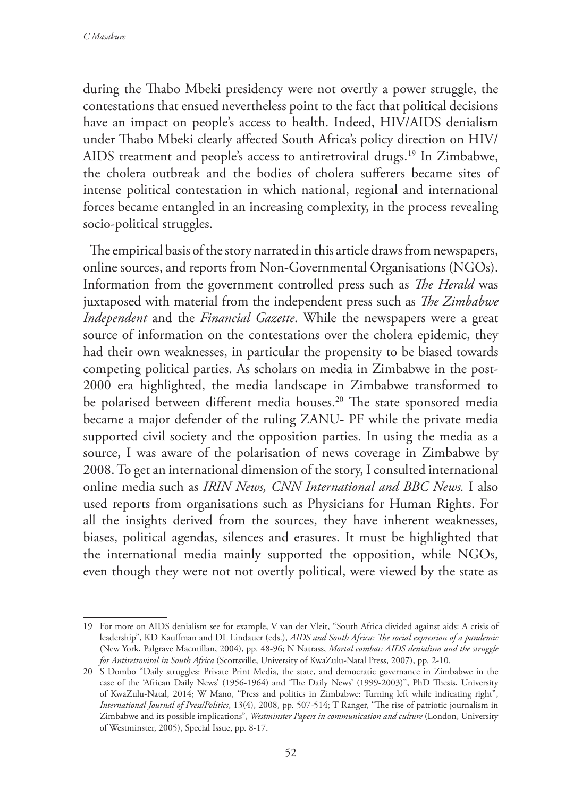during the Thabo Mbeki presidency were not overtly a power struggle, the contestations that ensued nevertheless point to the fact that political decisions have an impact on people's access to health. Indeed, HIV/AIDS denialism under Thabo Mbeki clearly affected South Africa's policy direction on HIV/ AIDS treatment and people's access to antiretroviral drugs.<sup>19</sup> In Zimbabwe, the cholera outbreak and the bodies of cholera sufferers became sites of intense political contestation in which national, regional and international forces became entangled in an increasing complexity, in the process revealing socio-political struggles.

The empirical basis of the story narrated in this article draws from newspapers, online sources, and reports from Non-Governmental Organisations (NGOs). Information from the government controlled press such as *The Herald* was juxtaposed with material from the independent press such as *The Zimbabwe Independent* and the *Financial Gazette*. While the newspapers were a great source of information on the contestations over the cholera epidemic, they had their own weaknesses, in particular the propensity to be biased towards competing political parties. As scholars on media in Zimbabwe in the post-2000 era highlighted, the media landscape in Zimbabwe transformed to be polarised between different media houses.<sup>20</sup> The state sponsored media became a major defender of the ruling ZANU- PF while the private media supported civil society and the opposition parties. In using the media as a source, I was aware of the polarisation of news coverage in Zimbabwe by 2008. To get an international dimension of the story, I consulted international online media such as *IRIN News, CNN International and BBC News.* I also used reports from organisations such as Physicians for Human Rights. For all the insights derived from the sources, they have inherent weaknesses, biases, political agendas, silences and erasures. It must be highlighted that the international media mainly supported the opposition, while NGOs, even though they were not not overtly political, were viewed by the state as

<sup>19</sup> For more on AIDS denialism see for example, V van der Vleit, "South Africa divided against aids: A crisis of leadership", KD Kauffman and DL Lindauer (eds.), *AIDS and South Africa: The social expression of a pandemic*  (New York, Palgrave Macmillan, 2004), pp. 48-96; N Natrass, *Mortal combat: AIDS denialism and the struggle for Antiretroviral in South Africa* (Scottsville, University of KwaZulu-Natal Press, 2007), pp. 2-10.

<sup>20</sup> S Dombo "Daily struggles: Private Print Media, the state, and democratic governance in Zimbabwe in the case of the 'African Daily News' (1956-1964) and 'The Daily News' (1999-2003)", PhD Thesis, University of KwaZulu-Natal, 2014; W Mano, "Press and politics in Zimbabwe: Turning left while indicating right", *International Journal of Press/Politics*, 13(4), 2008, pp. 507-514; T Ranger, "The rise of patriotic journalism in Zimbabwe and its possible implications", *Westminster Papers in communication and culture* (London, University of Westminster, 2005), Special Issue, pp. 8-17.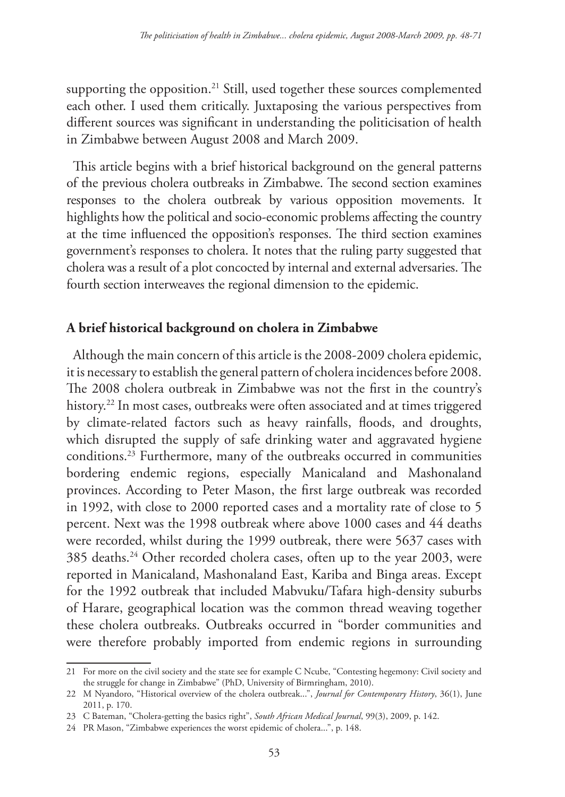supporting the opposition.<sup>21</sup> Still, used together these sources complemented each other. I used them critically. Juxtaposing the various perspectives from different sources was significant in understanding the politicisation of health in Zimbabwe between August 2008 and March 2009.

This article begins with a brief historical background on the general patterns of the previous cholera outbreaks in Zimbabwe. The second section examines responses to the cholera outbreak by various opposition movements. It highlights how the political and socio-economic problems affecting the country at the time influenced the opposition's responses. The third section examines government's responses to cholera. It notes that the ruling party suggested that cholera was a result of a plot concocted by internal and external adversaries. The fourth section interweaves the regional dimension to the epidemic.

# **A brief historical background on cholera in Zimbabwe**

Although the main concern of this article is the 2008-2009 cholera epidemic, it is necessary to establish the general pattern of cholera incidences before 2008. The 2008 cholera outbreak in Zimbabwe was not the first in the country's history.<sup>22</sup> In most cases, outbreaks were often associated and at times triggered by climate-related factors such as heavy rainfalls, floods, and droughts, which disrupted the supply of safe drinking water and aggravated hygiene conditions.23 Furthermore, many of the outbreaks occurred in communities bordering endemic regions, especially Manicaland and Mashonaland provinces. According to Peter Mason, the first large outbreak was recorded in 1992, with close to 2000 reported cases and a mortality rate of close to 5 percent. Next was the 1998 outbreak where above 1000 cases and 44 deaths were recorded, whilst during the 1999 outbreak, there were 5637 cases with 385 deaths.24 Other recorded cholera cases, often up to the year 2003, were reported in Manicaland, Mashonaland East, Kariba and Binga areas. Except for the 1992 outbreak that included Mabvuku/Tafara high-density suburbs of Harare, geographical location was the common thread weaving together these cholera outbreaks. Outbreaks occurred in "border communities and were therefore probably imported from endemic regions in surrounding

<sup>21</sup> For more on the civil society and the state see for example C Ncube, "Contesting hegemony: Civil society and the struggle for change in Zimbabwe" (PhD, University of Birmringham, 2010).

<sup>22</sup> M Nyandoro, "Historical overview of the cholera outbreak...", *Journal for Contemporary History*, 36(1), June 2011, p. 170.

<sup>23</sup> C Bateman, "Cholera-getting the basics right", *South African Medical Journal*, 99(3), 2009, p. 142.

<sup>24</sup> PR Mason, "Zimbabwe experiences the worst epidemic of cholera...", p. 148.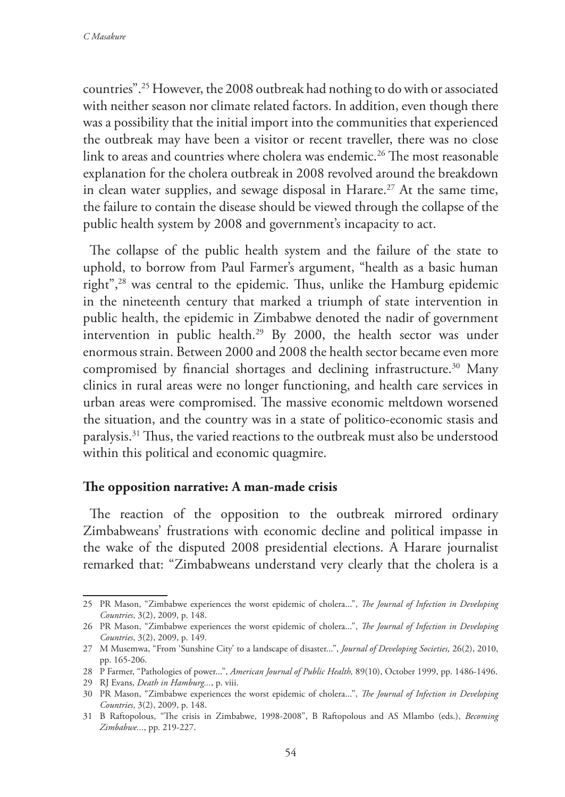countries".25 However, the 2008 outbreak had nothing to do with or associated with neither season nor climate related factors. In addition, even though there was a possibility that the initial import into the communities that experienced the outbreak may have been a visitor or recent traveller, there was no close link to areas and countries where cholera was endemic.<sup>26</sup> The most reasonable explanation for the cholera outbreak in 2008 revolved around the breakdown in clean water supplies, and sewage disposal in Harare.<sup>27</sup> At the same time, the failure to contain the disease should be viewed through the collapse of the public health system by 2008 and government's incapacity to act.

The collapse of the public health system and the failure of the state to uphold, to borrow from Paul Farmer's argument, "health as a basic human right",28 was central to the epidemic. Thus, unlike the Hamburg epidemic in the nineteenth century that marked a triumph of state intervention in public health, the epidemic in Zimbabwe denoted the nadir of government intervention in public health.29 By 2000, the health sector was under enormous strain. Between 2000 and 2008 the health sector became even more compromised by financial shortages and declining infrastructure.<sup>30</sup> Many clinics in rural areas were no longer functioning, and health care services in urban areas were compromised. The massive economic meltdown worsened the situation, and the country was in a state of politico-economic stasis and paralysis.31 Thus, the varied reactions to the outbreak must also be understood within this political and economic quagmire.

## **The opposition narrative: A man-made crisis**

The reaction of the opposition to the outbreak mirrored ordinary Zimbabweans' frustrations with economic decline and political impasse in the wake of the disputed 2008 presidential elections. A Harare journalist remarked that: "Zimbabweans understand very clearly that the cholera is a

<sup>25</sup> PR Mason, "Zimbabwe experiences the worst epidemic of cholera...", *The Journal of Infection in Developing Countries*, 3(2), 2009, p. 148.

<sup>26</sup> PR Mason, "Zimbabwe experiences the worst epidemic of cholera...", *The Journal of Infection in Developing Countries*, 3(2), 2009, p. 149.

<sup>27</sup> M Musemwa, "From 'Sunshine City' to a landscape of disaster...", *Journal of Developing Societies*, 26(2), 2010, pp. 165-206.

<sup>28</sup> P Farmer, "Pathologies of power...", *American Journal of Public Health,* 89(10), October 1999, pp. 1486-1496.

<sup>29</sup> RJ Evans, *Death in Hamburg...*, p. viii.

<sup>30</sup> PR Mason, "Zimbabwe experiences the worst epidemic of cholera...", *The Journal of Infection in Developing Countries*, 3(2), 2009, p. 148.

<sup>31</sup> B Raftopolous, "The crisis in Zimbabwe, 1998-2008", B Raftopolous and AS Mlambo (eds.), *Becoming Zimbabwe...*, pp. 219-227.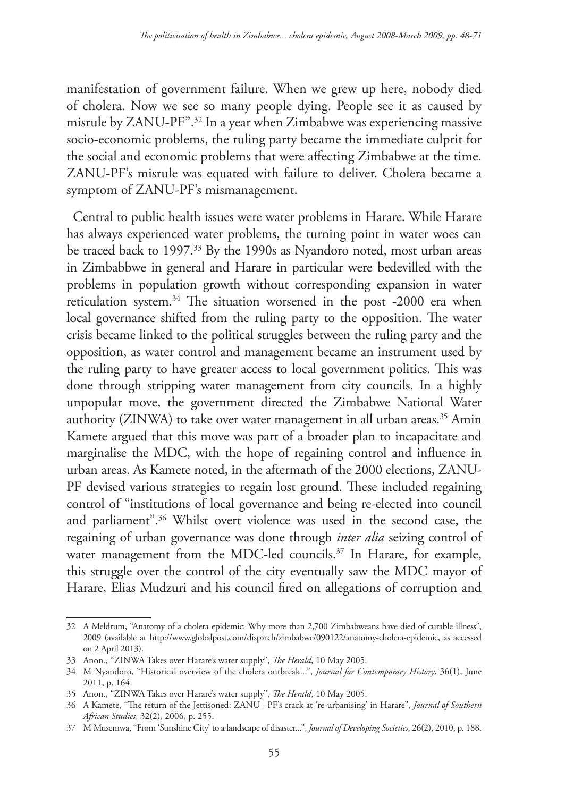manifestation of government failure. When we grew up here, nobody died of cholera. Now we see so many people dying. People see it as caused by misrule by ZANU-PF".32 In a year when Zimbabwe was experiencing massive socio-economic problems, the ruling party became the immediate culprit for the social and economic problems that were affecting Zimbabwe at the time. ZANU-PF's misrule was equated with failure to deliver. Cholera became a symptom of ZANU-PF's mismanagement.

Central to public health issues were water problems in Harare. While Harare has always experienced water problems, the turning point in water woes can be traced back to 1997.<sup>33</sup> By the 1990s as Nyandoro noted, most urban areas in Zimbabbwe in general and Harare in particular were bedevilled with the problems in population growth without corresponding expansion in water reticulation system.<sup>34</sup> The situation worsened in the post -2000 era when local governance shifted from the ruling party to the opposition. The water crisis became linked to the political struggles between the ruling party and the opposition, as water control and management became an instrument used by the ruling party to have greater access to local government politics. This was done through stripping water management from city councils. In a highly unpopular move, the government directed the Zimbabwe National Water authority (ZINWA) to take over water management in all urban areas.<sup>35</sup> Amin Kamete argued that this move was part of a broader plan to incapacitate and marginalise the MDC, with the hope of regaining control and influence in urban areas. As Kamete noted, in the aftermath of the 2000 elections, ZANU-PF devised various strategies to regain lost ground. These included regaining control of "institutions of local governance and being re-elected into council and parliament".36 Whilst overt violence was used in the second case, the regaining of urban governance was done through *inter alia* seizing control of water management from the MDC-led councils.<sup>37</sup> In Harare, for example, this struggle over the control of the city eventually saw the MDC mayor of Harare, Elias Mudzuri and his council fired on allegations of corruption and

<sup>32</sup> A Meldrum, "Anatomy of a cholera epidemic: Why more than 2,700 Zimbabweans have died of curable illness", 2009 (available at http://www.globalpost.com/dispatch/zimbabwe/090122/anatomy-cholera-epidemic, as accessed on 2 April 2013).

<sup>33</sup> Anon., "ZINWA Takes over Harare's water supply", *The Herald*, 10 May 2005.

<sup>34</sup> M Nyandoro, "Historical overview of the cholera outbreak...", *Journal for Contemporary History*, 36(1), June 2011, p. 164.

<sup>35</sup> Anon., "ZINWA Takes over Harare's water supply", *The Herald*, 10 May 2005.

<sup>36</sup> A Kamete, "The return of the Jettisoned: ZANU –PF's crack at 're-urbanising' in Harare", *Journal of Southern African Studies*, 32(2), 2006, p. 255.

<sup>37</sup> M Musemwa, "From 'Sunshine City' to a landscape of disaster...", *Journal of Developing Societies*, 26(2), 2010, p. 188.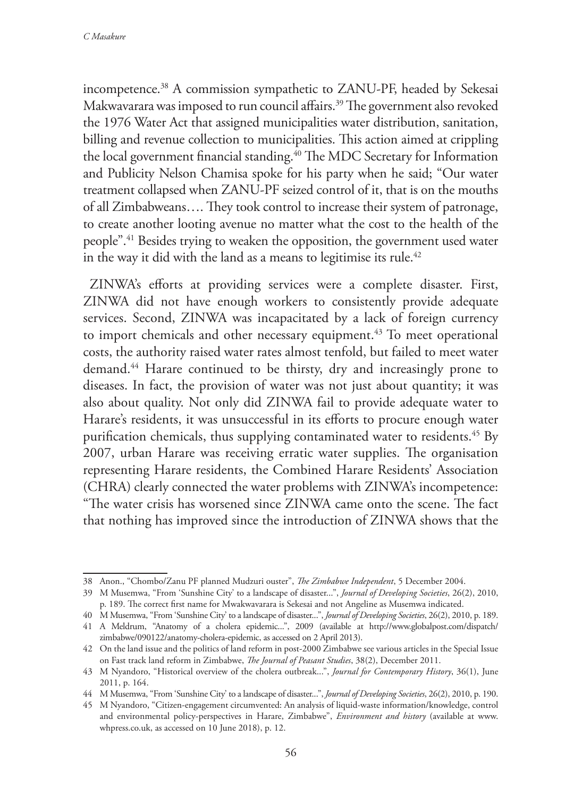incompetence.38 A commission sympathetic to ZANU-PF, headed by Sekesai Makwavarara was imposed to run council affairs.<sup>39</sup> The government also revoked the 1976 Water Act that assigned municipalities water distribution, sanitation, billing and revenue collection to municipalities. This action aimed at crippling the local government financial standing.<sup>40</sup> The MDC Secretary for Information and Publicity Nelson Chamisa spoke for his party when he said; "Our water treatment collapsed when ZANU-PF seized control of it, that is on the mouths of all Zimbabweans…. They took control to increase their system of patronage, to create another looting avenue no matter what the cost to the health of the people".41 Besides trying to weaken the opposition, the government used water in the way it did with the land as a means to legitimise its rule.<sup>42</sup>

ZINWA's efforts at providing services were a complete disaster. First, ZINWA did not have enough workers to consistently provide adequate services. Second, ZINWA was incapacitated by a lack of foreign currency to import chemicals and other necessary equipment.<sup>43</sup> To meet operational costs, the authority raised water rates almost tenfold, but failed to meet water demand.44 Harare continued to be thirsty, dry and increasingly prone to diseases. In fact, the provision of water was not just about quantity; it was also about quality. Not only did ZINWA fail to provide adequate water to Harare's residents, it was unsuccessful in its efforts to procure enough water purification chemicals, thus supplying contaminated water to residents.<sup>45</sup> By 2007, urban Harare was receiving erratic water supplies. The organisation representing Harare residents, the Combined Harare Residents' Association (CHRA) clearly connected the water problems with ZINWA's incompetence: "The water crisis has worsened since ZINWA came onto the scene. The fact that nothing has improved since the introduction of ZINWA shows that the

<sup>38</sup> Anon., "Chombo/Zanu PF planned Mudzuri ouster", *The Zimbabwe Independent*, 5 December 2004.

<sup>39</sup> M Musemwa, "From 'Sunshine City' to a landscape of disaster...", *Journal of Developing Societies*, 26(2), 2010, p. 189. The correct first name for Mwakwavarara is Sekesai and not Angeline as Musemwa indicated.

<sup>40</sup> M Musemwa, "From 'Sunshine City' to a landscape of disaster...", *Journal of Developing Societies*, 26(2), 2010, p. 189.

<sup>41</sup> A Meldrum, "Anatomy of a cholera epidemic...", 2009 (available at http://www.globalpost.com/dispatch/ zimbabwe/090122/anatomy-cholera-epidemic, as accessed on 2 April 2013).

<sup>42</sup> On the land issue and the politics of land reform in post-2000 Zimbabwe see various articles in the Special Issue on Fast track land reform in Zimbabwe, *The Journal of Peasant Studies*, 38(2), December 2011.

<sup>43</sup> M Nyandoro, "Historical overview of the cholera outbreak...", *Journal for Contemporary History*, 36(1), June 2011, p. 164.

<sup>44</sup> M Musemwa, "From 'Sunshine City' to a landscape of disaster...", *Journal of Developing Societies*, 26(2), 2010, p. 190.

<sup>45</sup> M Nyandoro, "Citizen-engagement circumvented: An analysis of liquid-waste information/knowledge, control and environmental policy-perspectives in Harare, Zimbabwe", *Environment and history* (available at www. whpress.co.uk, as accessed on 10 June 2018), p. 12.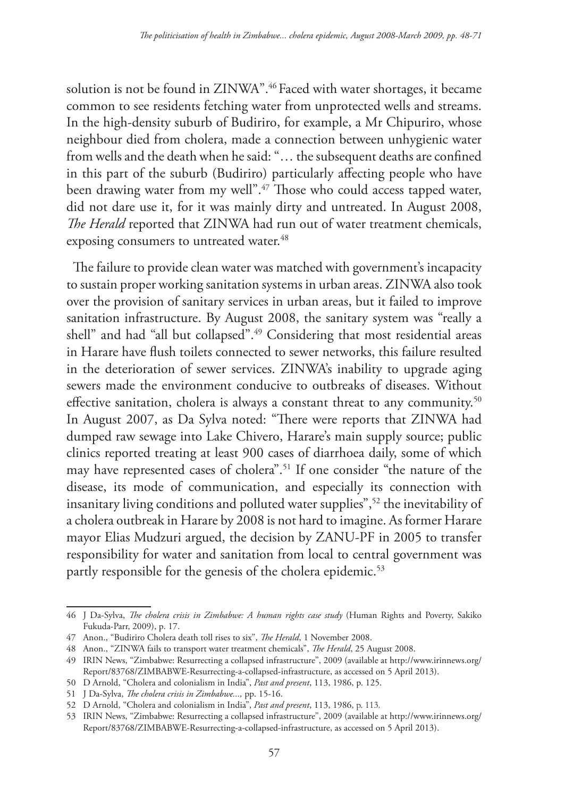solution is not be found in ZINWA".46 Faced with water shortages, it became common to see residents fetching water from unprotected wells and streams. In the high-density suburb of Budiriro, for example, a Mr Chipuriro, whose neighbour died from cholera, made a connection between unhygienic water from wells and the death when he said: "… the subsequent deaths are confined in this part of the suburb (Budiriro) particularly affecting people who have been drawing water from my well".47 Those who could access tapped water, did not dare use it, for it was mainly dirty and untreated. In August 2008, *The Herald* reported that ZINWA had run out of water treatment chemicals, exposing consumers to untreated water.<sup>48</sup>

The failure to provide clean water was matched with government's incapacity to sustain proper working sanitation systems in urban areas. ZINWA also took over the provision of sanitary services in urban areas, but it failed to improve sanitation infrastructure. By August 2008, the sanitary system was "really a shell" and had "all but collapsed".49 Considering that most residential areas in Harare have flush toilets connected to sewer networks, this failure resulted in the deterioration of sewer services. ZINWA's inability to upgrade aging sewers made the environment conducive to outbreaks of diseases. Without effective sanitation, cholera is always a constant threat to any community.<sup>50</sup> In August 2007, as Da Sylva noted: "There were reports that ZINWA had dumped raw sewage into Lake Chivero, Harare's main supply source; public clinics reported treating at least 900 cases of diarrhoea daily, some of which may have represented cases of cholera".51 If one consider "the nature of the disease, its mode of communication, and especially its connection with insanitary living conditions and polluted water supplies",<sup>52</sup> the inevitability of a cholera outbreak in Harare by 2008 is not hard to imagine. As former Harare mayor Elias Mudzuri argued, the decision by ZANU-PF in 2005 to transfer responsibility for water and sanitation from local to central government was partly responsible for the genesis of the cholera epidemic.<sup>53</sup>

<sup>46</sup> J Da-Sylva, *The cholera crisis in Zimbabwe: A human rights case study* (Human Rights and Poverty, Sakiko Fukuda-Parr, 2009), p. 17.

<sup>47</sup> Anon., "Budiriro Cholera death toll rises to six", *The Herald*, 1 November 2008.

<sup>48</sup> Anon., "ZINWA fails to transport water treatment chemicals", *The Herald*, 25 August 2008.

<sup>49</sup> IRIN News, "Zimbabwe: Resurrecting a collapsed infrastructure", 2009 (available at http://www.irinnews.org/ Report/83768/ZIMBABWE-Resurrecting-a-collapsed-infrastructure, as accessed on 5 April 2013).

<sup>50</sup> D Arnold, "Cholera and colonialism in India", *Past and present*, 113, 1986, p. 125.

<sup>51</sup> J Da-Sylva, *The cholera crisis in Zimbabwe...,* pp. 15-16.

<sup>52</sup> D Arnold, "Cholera and colonialism in India", *Past and present*, 113, 1986, p. 113.

<sup>53</sup> IRIN News, "Zimbabwe: Resurrecting a collapsed infrastructure", 2009 (available at http://www.irinnews.org/ Report/83768/ZIMBABWE-Resurrecting-a-collapsed-infrastructure, as accessed on 5 April 2013).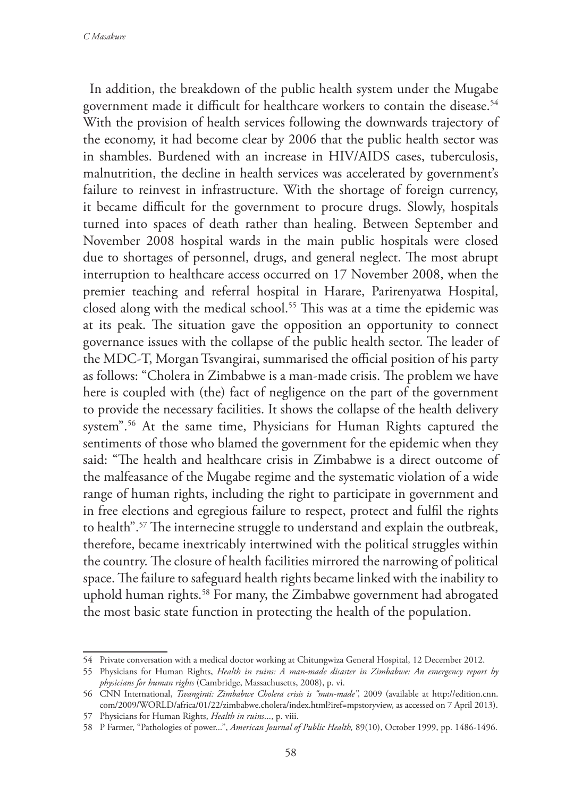In addition, the breakdown of the public health system under the Mugabe government made it difficult for healthcare workers to contain the disease.<sup>54</sup> With the provision of health services following the downwards trajectory of the economy, it had become clear by 2006 that the public health sector was in shambles. Burdened with an increase in HIV/AIDS cases, tuberculosis, malnutrition, the decline in health services was accelerated by government's failure to reinvest in infrastructure. With the shortage of foreign currency, it became difficult for the government to procure drugs. Slowly, hospitals turned into spaces of death rather than healing. Between September and November 2008 hospital wards in the main public hospitals were closed due to shortages of personnel, drugs, and general neglect. The most abrupt interruption to healthcare access occurred on 17 November 2008, when the premier teaching and referral hospital in Harare, Parirenyatwa Hospital, closed along with the medical school.<sup>55</sup> This was at a time the epidemic was at its peak. The situation gave the opposition an opportunity to connect governance issues with the collapse of the public health sector. The leader of the MDC-T, Morgan Tsvangirai, summarised the official position of his party as follows: "Cholera in Zimbabwe is a man-made crisis. The problem we have here is coupled with (the) fact of negligence on the part of the government to provide the necessary facilities. It shows the collapse of the health delivery system".56 At the same time, Physicians for Human Rights captured the sentiments of those who blamed the government for the epidemic when they said: "The health and healthcare crisis in Zimbabwe is a direct outcome of the malfeasance of the Mugabe regime and the systematic violation of a wide range of human rights, including the right to participate in government and in free elections and egregious failure to respect, protect and fulfil the rights to health".57 The internecine struggle to understand and explain the outbreak, therefore, became inextricably intertwined with the political struggles within the country. The closure of health facilities mirrored the narrowing of political space. The failure to safeguard health rights became linked with the inability to uphold human rights.<sup>58</sup> For many, the Zimbabwe government had abrogated the most basic state function in protecting the health of the population.

<sup>54</sup> Private conversation with a medical doctor working at Chitungwiza General Hospital, 12 December 2012.

<sup>55</sup> Physicians for Human Rights, *Health in ruins: A man-made disaster in Zimbabwe: An emergency report by physicians for human rights* (Cambridge, Massachusetts, 2008), p. vi.

<sup>56</sup> CNN International, *Tsvangirai: Zimbabwe Cholera crisis is "man-made",* 2009 (available at http://edition.cnn. com/2009/WORLD/africa/01/22/zimbabwe.cholera/index.html?iref=mpstoryview, as accessed on 7 April 2013).

<sup>57</sup> Physicians for Human Rights, *Health in ruins*..., p. viii.

<sup>58</sup> P Farmer, "Pathologies of power...", *American Journal of Public Health,* 89(10), October 1999, pp. 1486-1496.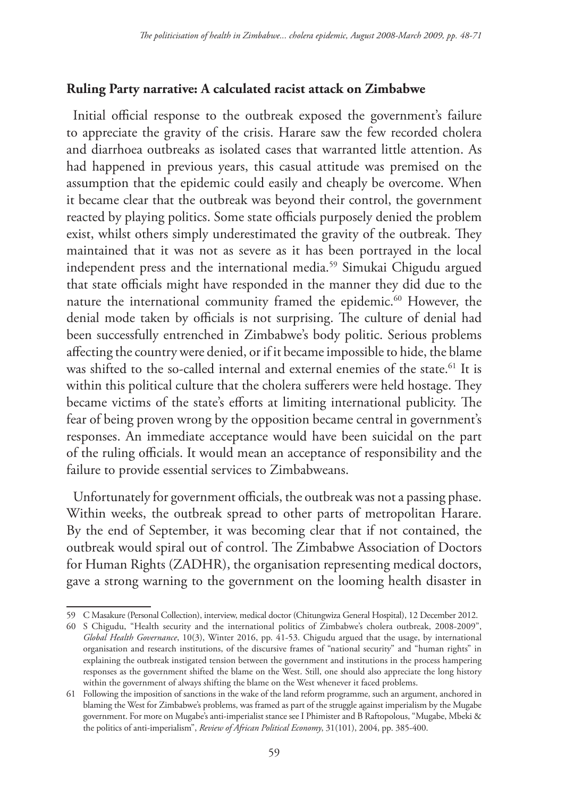# **Ruling Party narrative: A calculated racist attack on Zimbabwe**

Initial official response to the outbreak exposed the government's failure to appreciate the gravity of the crisis. Harare saw the few recorded cholera and diarrhoea outbreaks as isolated cases that warranted little attention. As had happened in previous years, this casual attitude was premised on the assumption that the epidemic could easily and cheaply be overcome. When it became clear that the outbreak was beyond their control, the government reacted by playing politics. Some state officials purposely denied the problem exist, whilst others simply underestimated the gravity of the outbreak. They maintained that it was not as severe as it has been portrayed in the local independent press and the international media.59 Simukai Chigudu argued that state officials might have responded in the manner they did due to the nature the international community framed the epidemic.<sup>60</sup> However, the denial mode taken by officials is not surprising. The culture of denial had been successfully entrenched in Zimbabwe's body politic. Serious problems affecting the country were denied, or if it became impossible to hide, the blame was shifted to the so-called internal and external enemies of the state.<sup>61</sup> It is within this political culture that the cholera sufferers were held hostage. They became victims of the state's efforts at limiting international publicity. The fear of being proven wrong by the opposition became central in government's responses. An immediate acceptance would have been suicidal on the part of the ruling officials. It would mean an acceptance of responsibility and the failure to provide essential services to Zimbabweans.

Unfortunately for government officials, the outbreak was not a passing phase. Within weeks, the outbreak spread to other parts of metropolitan Harare. By the end of September, it was becoming clear that if not contained, the outbreak would spiral out of control. The Zimbabwe Association of Doctors for Human Rights (ZADHR), the organisation representing medical doctors, gave a strong warning to the government on the looming health disaster in

<sup>59</sup> C Masakure (Personal Collection), interview, medical doctor (Chitungwiza General Hospital), 12 December 2012.

<sup>60</sup> S Chigudu, "Health security and the international politics of Zimbabwe's cholera outbreak, 2008-2009", *Global Health Governance*, 10(3), Winter 2016, pp. 41-53. Chigudu argued that the usage, by international organisation and research institutions, of the discursive frames of "national security" and "human rights" in explaining the outbreak instigated tension between the government and institutions in the process hampering responses as the government shifted the blame on the West. Still, one should also appreciate the long history within the government of always shifting the blame on the West whenever it faced problems.

<sup>61</sup> Following the imposition of sanctions in the wake of the land reform programme, such an argument, anchored in blaming the West for Zimbabwe's problems, was framed as part of the struggle against imperialism by the Mugabe government. For more on Mugabe's anti-imperialist stance see I Phimister and B Raftopolous, "Mugabe, Mbeki & the politics of anti-imperialism", *Review of African Political Economy*, 31(101), 2004, pp. 385-400.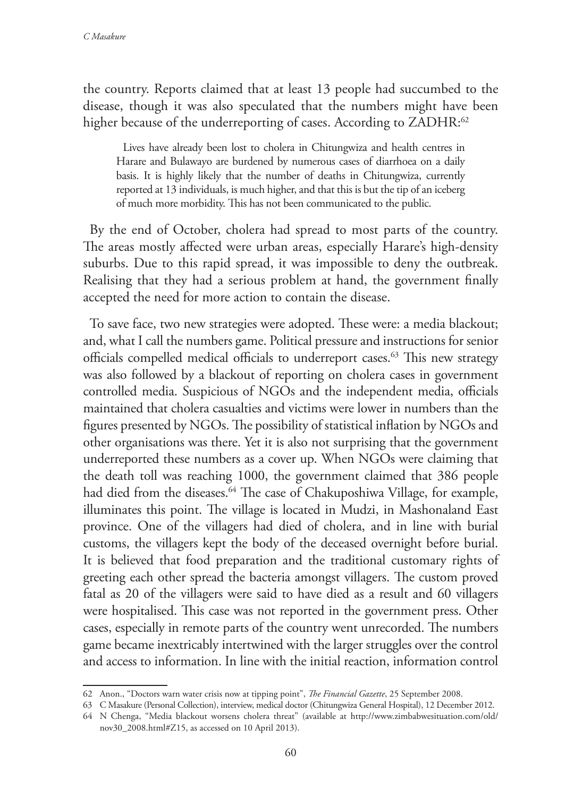the country. Reports claimed that at least 13 people had succumbed to the disease, though it was also speculated that the numbers might have been higher because of the underreporting of cases. According to ZADHR:<sup>62</sup>

Lives have already been lost to cholera in Chitungwiza and health centres in Harare and Bulawayo are burdened by numerous cases of diarrhoea on a daily basis. It is highly likely that the number of deaths in Chitungwiza, currently reported at 13 individuals, is much higher, and that this is but the tip of an iceberg of much more morbidity. This has not been communicated to the public.

By the end of October, cholera had spread to most parts of the country. The areas mostly affected were urban areas, especially Harare's high-density suburbs. Due to this rapid spread, it was impossible to deny the outbreak. Realising that they had a serious problem at hand, the government finally accepted the need for more action to contain the disease.

To save face, two new strategies were adopted. These were: a media blackout; and, what I call the numbers game. Political pressure and instructions for senior officials compelled medical officials to underreport cases.<sup>63</sup> This new strategy was also followed by a blackout of reporting on cholera cases in government controlled media. Suspicious of NGOs and the independent media, officials maintained that cholera casualties and victims were lower in numbers than the figures presented by NGOs. The possibility of statistical inflation by NGOs and other organisations was there. Yet it is also not surprising that the government underreported these numbers as a cover up. When NGOs were claiming that the death toll was reaching 1000, the government claimed that 386 people had died from the diseases.<sup>64</sup> The case of Chakuposhiwa Village, for example, illuminates this point. The village is located in Mudzi, in Mashonaland East province. One of the villagers had died of cholera, and in line with burial customs, the villagers kept the body of the deceased overnight before burial. It is believed that food preparation and the traditional customary rights of greeting each other spread the bacteria amongst villagers. The custom proved fatal as 20 of the villagers were said to have died as a result and 60 villagers were hospitalised. This case was not reported in the government press. Other cases, especially in remote parts of the country went unrecorded. The numbers game became inextricably intertwined with the larger struggles over the control and access to information. In line with the initial reaction, information control

<sup>62</sup> Anon., "Doctors warn water crisis now at tipping point", *The Financial Gazette*, 25 September 2008.

<sup>63</sup> C Masakure (Personal Collection), interview, medical doctor (Chitungwiza General Hospital), 12 December 2012.

<sup>64</sup> N Chenga, "Media blackout worsens cholera threat" (available at http://www.zimbabwesituation.com/old/ nov30\_2008.html#Z15, as accessed on 10 April 2013).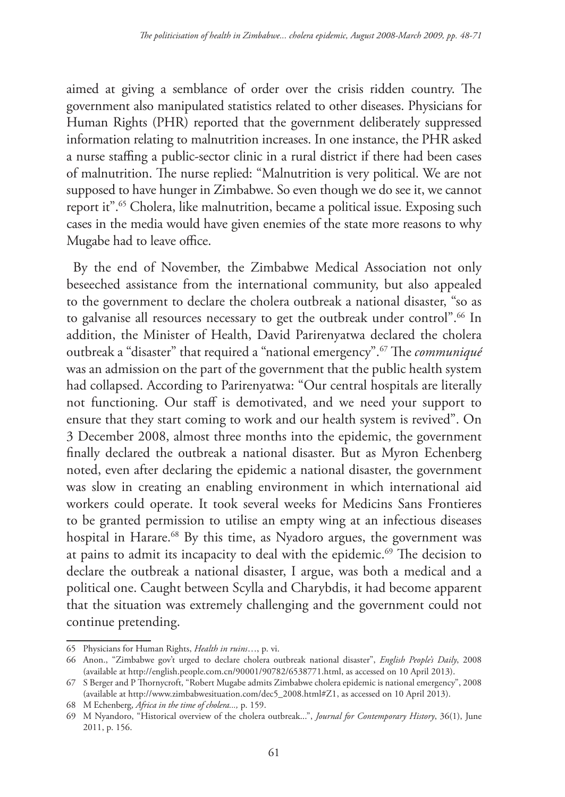aimed at giving a semblance of order over the crisis ridden country. The government also manipulated statistics related to other diseases. Physicians for Human Rights (PHR) reported that the government deliberately suppressed information relating to malnutrition increases. In one instance, the PHR asked a nurse staffing a public-sector clinic in a rural district if there had been cases of malnutrition. The nurse replied: "Malnutrition is very political. We are not supposed to have hunger in Zimbabwe. So even though we do see it, we cannot report it".65 Cholera, like malnutrition, became a political issue. Exposing such cases in the media would have given enemies of the state more reasons to why Mugabe had to leave office.

By the end of November, the Zimbabwe Medical Association not only beseeched assistance from the international community, but also appealed to the government to declare the cholera outbreak a national disaster, "so as to galvanise all resources necessary to get the outbreak under control".<sup>66</sup> In addition, the Minister of Health, David Parirenyatwa declared the cholera outbreak a "disaster" that required a "national emergency".67 The *communiqué* was an admission on the part of the government that the public health system had collapsed. According to Parirenyatwa: "Our central hospitals are literally not functioning. Our staff is demotivated, and we need your support to ensure that they start coming to work and our health system is revived". On 3 December 2008, almost three months into the epidemic, the government finally declared the outbreak a national disaster. But as Myron Echenberg noted, even after declaring the epidemic a national disaster, the government was slow in creating an enabling environment in which international aid workers could operate. It took several weeks for Medicins Sans Frontieres to be granted permission to utilise an empty wing at an infectious diseases hospital in Harare.<sup>68</sup> By this time, as Nyadoro argues, the government was at pains to admit its incapacity to deal with the epidemic.<sup>69</sup> The decision to declare the outbreak a national disaster, I argue, was both a medical and a political one. Caught between Scylla and Charybdis, it had become apparent that the situation was extremely challenging and the government could not continue pretending.

<sup>65</sup> Physicians for Human Rights, *Health in ruins*…, p. vi.

<sup>66</sup> Anon., "Zimbabwe gov't urged to declare cholera outbreak national disaster", *English People's Daily*, 2008 (available at http://english.people.com.cn/90001/90782/6538771.html, as accessed on 10 April 2013).

<sup>67</sup> S Berger and P Thornycroft, "Robert Mugabe admits Zimbabwe cholera epidemic is national emergency", 2008 (available at http://www.zimbabwesituation.com/dec5\_2008.html#Z1, as accessed on 10 April 2013).

<sup>68</sup> M Echenberg, *Africa in the time of cholera...,* p. 159.

<sup>69</sup> M Nyandoro, "Historical overview of the cholera outbreak...", *Journal for Contemporary History*, 36(1), June 2011, p. 156.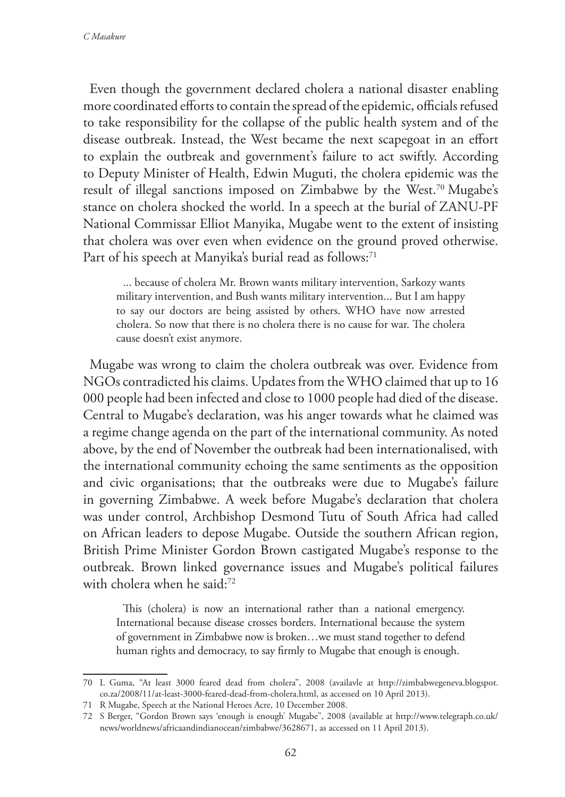Even though the government declared cholera a national disaster enabling more coordinated efforts to contain the spread of the epidemic, officials refused to take responsibility for the collapse of the public health system and of the disease outbreak. Instead, the West became the next scapegoat in an effort to explain the outbreak and government's failure to act swiftly. According to Deputy Minister of Health, Edwin Muguti, the cholera epidemic was the result of illegal sanctions imposed on Zimbabwe by the West.70 Mugabe's stance on cholera shocked the world. In a speech at the burial of ZANU-PF National Commissar Elliot Manyika, Mugabe went to the extent of insisting that cholera was over even when evidence on the ground proved otherwise. Part of his speech at Manyika's burial read as follows:<sup>71</sup>

... because of cholera Mr. Brown wants military intervention, Sarkozy wants military intervention, and Bush wants military intervention... But I am happy to say our doctors are being assisted by others. WHO have now arrested cholera. So now that there is no cholera there is no cause for war. The cholera cause doesn't exist anymore.

Mugabe was wrong to claim the cholera outbreak was over. Evidence from NGOs contradicted his claims. Updates from the WHO claimed that up to 16 000 people had been infected and close to 1000 people had died of the disease. Central to Mugabe's declaration, was his anger towards what he claimed was a regime change agenda on the part of the international community. As noted above, by the end of November the outbreak had been internationalised, with the international community echoing the same sentiments as the opposition and civic organisations; that the outbreaks were due to Mugabe's failure in governing Zimbabwe. A week before Mugabe's declaration that cholera was under control, Archbishop Desmond Tutu of South Africa had called on African leaders to depose Mugabe. Outside the southern African region, British Prime Minister Gordon Brown castigated Mugabe's response to the outbreak. Brown linked governance issues and Mugabe's political failures with cholera when he said:<sup>72</sup>

This (cholera) is now an international rather than a national emergency. International because disease crosses borders. International because the system of government in Zimbabwe now is broken…we must stand together to defend human rights and democracy, to say firmly to Mugabe that enough is enough.

<sup>70</sup> L Guma, "At least 3000 feared dead from cholera", 2008 (availavle at http://zimbabwegeneva.blogspot. co.za/2008/11/at-least-3000-feared-dead-from-cholera.html, as accessed on 10 April 2013).

<sup>71</sup> R Mugabe, Speech at the National Heroes Acre, 10 December 2008.

<sup>72</sup> S Berger, "Gordon Brown says 'enough is enough' Mugabe", 2008 (available at http://www.telegraph.co.uk/ news/worldnews/africaandindianocean/zimbabwe/3628671, as accessed on 11 April 2013).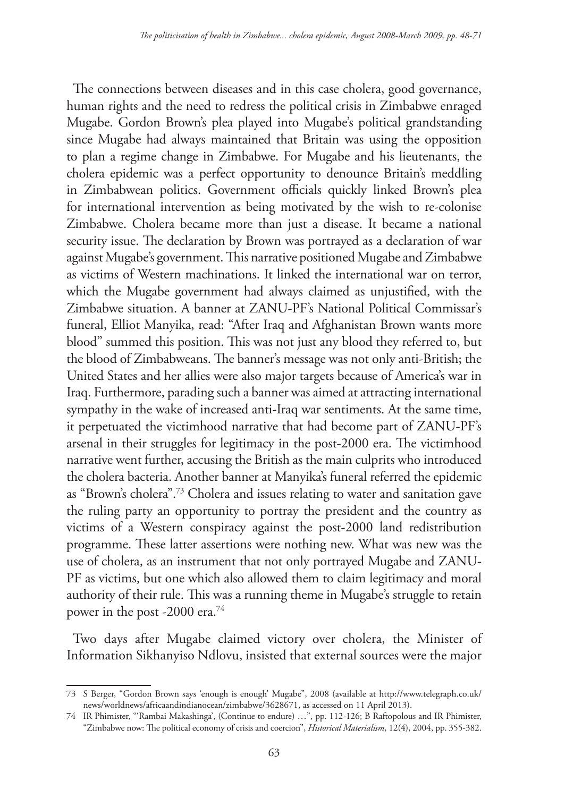The connections between diseases and in this case cholera, good governance, human rights and the need to redress the political crisis in Zimbabwe enraged Mugabe. Gordon Brown's plea played into Mugabe's political grandstanding since Mugabe had always maintained that Britain was using the opposition to plan a regime change in Zimbabwe. For Mugabe and his lieutenants, the cholera epidemic was a perfect opportunity to denounce Britain's meddling in Zimbabwean politics. Government officials quickly linked Brown's plea for international intervention as being motivated by the wish to re-colonise Zimbabwe. Cholera became more than just a disease. It became a national security issue. The declaration by Brown was portrayed as a declaration of war against Mugabe's government. This narrative positioned Mugabe and Zimbabwe as victims of Western machinations. It linked the international war on terror, which the Mugabe government had always claimed as unjustified, with the Zimbabwe situation. A banner at ZANU-PF's National Political Commissar's funeral, Elliot Manyika, read: "After Iraq and Afghanistan Brown wants more blood" summed this position. This was not just any blood they referred to, but the blood of Zimbabweans. The banner's message was not only anti-British; the United States and her allies were also major targets because of America's war in Iraq. Furthermore, parading such a banner was aimed at attracting international sympathy in the wake of increased anti-Iraq war sentiments. At the same time, it perpetuated the victimhood narrative that had become part of ZANU-PF's arsenal in their struggles for legitimacy in the post-2000 era. The victimhood narrative went further, accusing the British as the main culprits who introduced the cholera bacteria. Another banner at Manyika's funeral referred the epidemic as "Brown's cholera".73 Cholera and issues relating to water and sanitation gave the ruling party an opportunity to portray the president and the country as victims of a Western conspiracy against the post-2000 land redistribution programme. These latter assertions were nothing new. What was new was the use of cholera, as an instrument that not only portrayed Mugabe and ZANU-PF as victims, but one which also allowed them to claim legitimacy and moral authority of their rule. This was a running theme in Mugabe's struggle to retain power in the post -2000 era.74

Two days after Mugabe claimed victory over cholera, the Minister of Information Sikhanyiso Ndlovu, insisted that external sources were the major

<sup>73</sup> S Berger, "Gordon Brown says 'enough is enough' Mugabe", 2008 (available at http://www.telegraph.co.uk/ news/worldnews/africaandindianocean/zimbabwe/3628671, as accessed on 11 April 2013).

<sup>74</sup> IR Phimister, "'Rambai Makashinga', (Continue to endure) …", pp. 112-126; B Raftopolous and IR Phimister, "Zimbabwe now: The political economy of crisis and coercion", *Historical Materialism*, 12(4), 2004, pp. 355-382.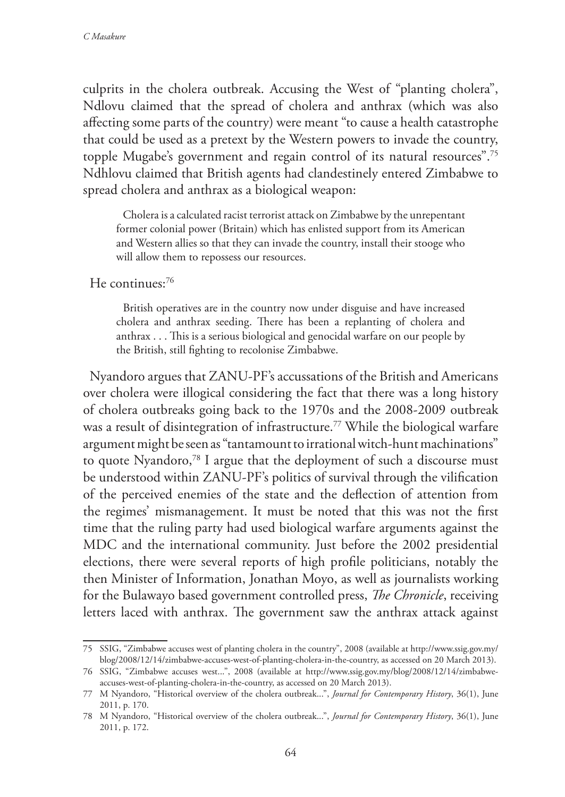culprits in the cholera outbreak. Accusing the West of "planting cholera", Ndlovu claimed that the spread of cholera and anthrax (which was also affecting some parts of the country) were meant "to cause a health catastrophe that could be used as a pretext by the Western powers to invade the country, topple Mugabe's government and regain control of its natural resources".75 Ndhlovu claimed that British agents had clandestinely entered Zimbabwe to spread cholera and anthrax as a biological weapon:

Cholera is a calculated racist terrorist attack on Zimbabwe by the unrepentant former colonial power (Britain) which has enlisted support from its American and Western allies so that they can invade the country, install their stooge who will allow them to repossess our resources.

He continues:76

British operatives are in the country now under disguise and have increased cholera and anthrax seeding. There has been a replanting of cholera and anthrax . . . This is a serious biological and genocidal warfare on our people by the British, still fighting to recolonise Zimbabwe.

Nyandoro argues that ZANU-PF's accussations of the British and Americans over cholera were illogical considering the fact that there was a long history of cholera outbreaks going back to the 1970s and the 2008-2009 outbreak was a result of disintegration of infrastructure.77 While the biological warfare argument might be seen as "tantamount to irrational witch-hunt machinations" to quote Nyandoro,78 I argue that the deployment of such a discourse must be understood within ZANU-PF's politics of survival through the vilification of the perceived enemies of the state and the deflection of attention from the regimes' mismanagement. It must be noted that this was not the first time that the ruling party had used biological warfare arguments against the MDC and the international community. Just before the 2002 presidential elections, there were several reports of high profile politicians, notably the then Minister of Information, Jonathan Moyo, as well as journalists working for the Bulawayo based government controlled press, *The Chronicle*, receiving letters laced with anthrax. The government saw the anthrax attack against

<sup>75</sup> SSIG, "Zimbabwe accuses west of planting cholera in the country", 2008 (available at http://www.ssig.gov.my/ blog/2008/12/14/zimbabwe-accuses-west-of-planting-cholera-in-the-country, as accessed on 20 March 2013).

<sup>76</sup> SSIG, "Zimbabwe accuses west...", 2008 (available at http://www.ssig.gov.my/blog/2008/12/14/zimbabweaccuses-west-of-planting-cholera-in-the-country, as accessed on 20 March 2013).

<sup>77</sup> M Nyandoro, "Historical overview of the cholera outbreak...", *Journal for Contemporary History*, 36(1), June 2011, p. 170.

<sup>78</sup> M Nyandoro, "Historical overview of the cholera outbreak...", *Journal for Contemporary History*, 36(1), June 2011, p. 172.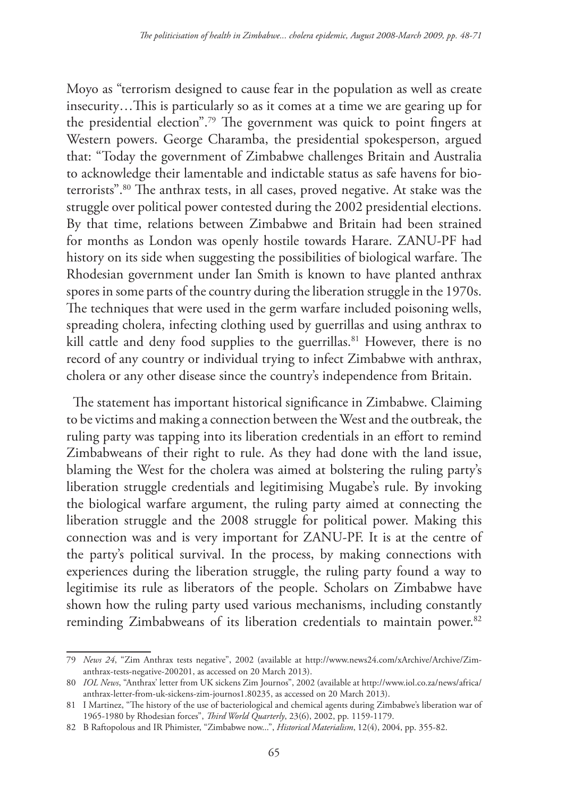Moyo as "terrorism designed to cause fear in the population as well as create insecurity…This is particularly so as it comes at a time we are gearing up for the presidential election".79 The government was quick to point fingers at Western powers. George Charamba, the presidential spokesperson, argued that: "Today the government of Zimbabwe challenges Britain and Australia to acknowledge their lamentable and indictable status as safe havens for bioterrorists".80 The anthrax tests, in all cases, proved negative. At stake was the struggle over political power contested during the 2002 presidential elections. By that time, relations between Zimbabwe and Britain had been strained for months as London was openly hostile towards Harare. ZANU-PF had history on its side when suggesting the possibilities of biological warfare. The Rhodesian government under Ian Smith is known to have planted anthrax spores in some parts of the country during the liberation struggle in the 1970s. The techniques that were used in the germ warfare included poisoning wells, spreading cholera, infecting clothing used by guerrillas and using anthrax to kill cattle and deny food supplies to the guerrillas.<sup>81</sup> However, there is no record of any country or individual trying to infect Zimbabwe with anthrax, cholera or any other disease since the country's independence from Britain.

The statement has important historical significance in Zimbabwe. Claiming to be victims and making a connection between the West and the outbreak, the ruling party was tapping into its liberation credentials in an effort to remind Zimbabweans of their right to rule. As they had done with the land issue, blaming the West for the cholera was aimed at bolstering the ruling party's liberation struggle credentials and legitimising Mugabe's rule. By invoking the biological warfare argument, the ruling party aimed at connecting the liberation struggle and the 2008 struggle for political power. Making this connection was and is very important for ZANU-PF. It is at the centre of the party's political survival. In the process, by making connections with experiences during the liberation struggle, the ruling party found a way to legitimise its rule as liberators of the people. Scholars on Zimbabwe have shown how the ruling party used various mechanisms, including constantly reminding Zimbabweans of its liberation credentials to maintain power.<sup>82</sup>

<sup>79</sup> *News 24*, "Zim Anthrax tests negative", 2002 (available at http://www.news24.com/xArchive/Archive/Zimanthrax-tests-negative-200201, as accessed on 20 March 2013).

<sup>80</sup> *IOL News*, "Anthrax' letter from UK sickens Zim Journos", 2002 (available at http://www.iol.co.za/news/africa/ anthrax-letter-from-uk-sickens-zim-journos1.80235, as accessed on 20 March 2013).

<sup>81</sup> I Martinez, "The history of the use of bacteriological and chemical agents during Zimbabwe's liberation war of 1965-1980 by Rhodesian forces", *Third World Quarterly*, 23(6), 2002, pp. 1159-1179.

<sup>82</sup> B Raftopolous and IR Phimister, "Zimbabwe now...", *Historical Materialism*, 12(4), 2004, pp. 355-82.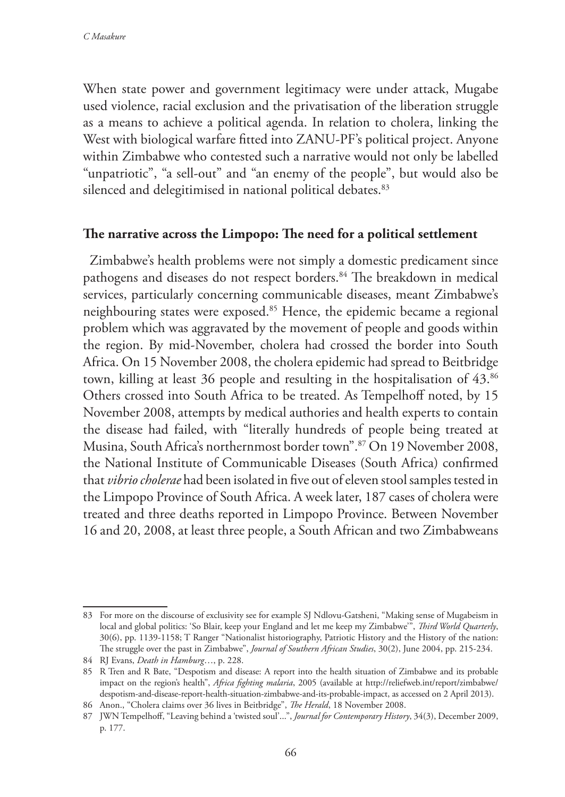When state power and government legitimacy were under attack, Mugabe used violence, racial exclusion and the privatisation of the liberation struggle as a means to achieve a political agenda. In relation to cholera, linking the West with biological warfare fitted into ZANU-PF's political project. Anyone within Zimbabwe who contested such a narrative would not only be labelled "unpatriotic", "a sell-out" and "an enemy of the people", but would also be silenced and delegitimised in national political debates.<sup>83</sup>

#### **The narrative across the Limpopo: The need for a political settlement**

Zimbabwe's health problems were not simply a domestic predicament since pathogens and diseases do not respect borders.84 The breakdown in medical services, particularly concerning communicable diseases, meant Zimbabwe's neighbouring states were exposed.<sup>85</sup> Hence, the epidemic became a regional problem which was aggravated by the movement of people and goods within the region. By mid-November, cholera had crossed the border into South Africa. On 15 November 2008, the cholera epidemic had spread to Beitbridge town, killing at least 36 people and resulting in the hospitalisation of 43.86 Others crossed into South Africa to be treated. As Tempelhoff noted, by 15 November 2008, attempts by medical authories and health experts to contain the disease had failed, with "literally hundreds of people being treated at Musina, South Africa's northernmost border town".87 On 19 November 2008, the National Institute of Communicable Diseases (South Africa) confirmed that *vibrio cholerae* had been isolated in five out of eleven stool samples tested in the Limpopo Province of South Africa. A week later, 187 cases of cholera were treated and three deaths reported in Limpopo Province. Between November 16 and 20, 2008, at least three people, a South African and two Zimbabweans

<sup>83</sup> For more on the discourse of exclusivity see for example SJ Ndlovu-Gatsheni, "Making sense of Mugabeism in local and global politics: 'So Blair, keep your England and let me keep my Zimbabwe'", *Third World Quarterly*, 30(6), pp. 1139-1158; T Ranger "Nationalist historiography, Patriotic History and the History of the nation: The struggle over the past in Zimbabwe", *Journal of Southern African Studies*, 30(2), June 2004, pp. 215-234.

<sup>84</sup> RJ Evans, *Death in Hamburg*…, p. 228.

<sup>85</sup> R Tren and R Bate, "Despotism and disease: A report into the health situation of Zimbabwe and its probable impact on the region's health", *Africa fighting malaria*, 2005 (available at http://reliefweb.int/report/zimbabwe/ despotism-and-disease-report-health-situation-zimbabwe-and-its-probable-impact, as accessed on 2 April 2013).

<sup>86</sup> Anon., "Cholera claims over 36 lives in Beitbridge", *The Herald*, 18 November 2008.

<sup>87</sup> JWN Tempelhoff, "Leaving behind a 'twisted soul'...", *Journal for Contemporary History*, 34(3), December 2009, p. 177.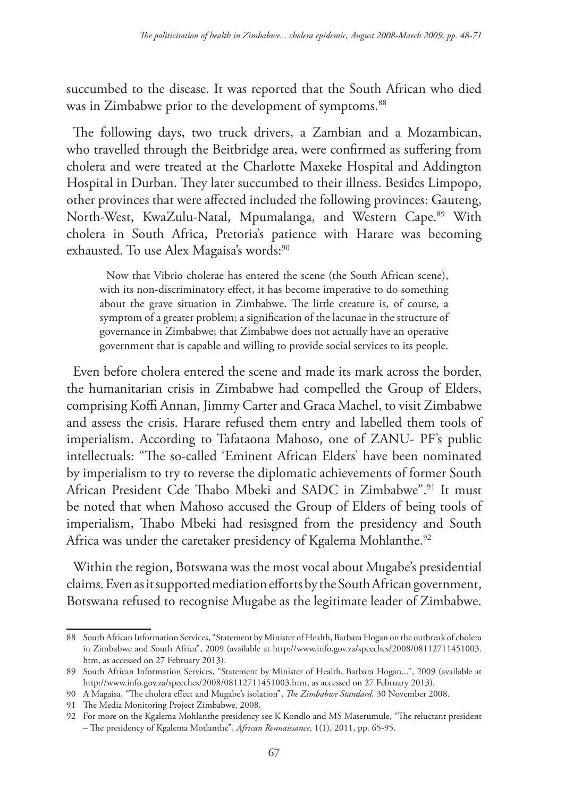succumbed to the disease. It was reported that the South African who died was in Zimbabwe prior to the development of symptoms.<sup>88</sup>

The following days, two truck drivers, a Zambian and a Mozambican, who travelled through the Beitbridge area, were confirmed as suffering from cholera and were treated at the Charlotte Maxeke Hospital and Addington Hospital in Durban. They later succumbed to their illness. Besides Limpopo, other provinces that were affected included the following provinces: Gauteng, North-West, KwaZulu-Natal, Mpumalanga, and Western Cape.<sup>89</sup> With cholera in South Africa, Pretoria's patience with Harare was becoming exhausted. To use Alex Magaisa's words:<sup>90</sup>

Now that Vibrio cholerae has entered the scene (the South African scene), with its non-discriminatory effect, it has become imperative to do something about the grave situation in Zimbabwe. The little creature is, of course, a symptom of a greater problem; a signification of the lacunae in the structure of governance in Zimbabwe; that Zimbabwe does not actually have an operative government that is capable and willing to provide social services to its people.

Even before cholera entered the scene and made its mark across the border, the humanitarian crisis in Zimbabwe had compelled the Group of Elders, comprising Koffi Annan, Jimmy Carter and Graca Machel, to visit Zimbabwe and assess the crisis. Harare refused them entry and labelled them tools of imperialism. According to Tafataona Mahoso, one of ZANU- PF's public intellectuals: "The so-called 'Eminent African Elders' have been nominated by imperialism to try to reverse the diplomatic achievements of former South African President Cde Thabo Mbeki and SADC in Zimbabwe".<sup>91</sup> It must be noted that when Mahoso accused the Group of Elders of being tools of imperialism, Thabo Mbeki had resisgned from the presidency and South Africa was under the caretaker presidency of Kgalema Mohlanthe.<sup>92</sup>

Within the region, Botswana was the most vocal about Mugabe's presidential claims. Even as it supported mediation efforts by the South African government, Botswana refused to recognise Mugabe as the legitimate leader of Zimbabwe.

<sup>88</sup> South African Information Services, "Statement by Minister of Health, Barbara Hogan on the outbreak of cholera in Zimbabwe and South Africa", 2009 (available at http://www.info.gov.za/speeches/2008/08112711451003. htm, as accessed on 27 February 2013).

<sup>89</sup> South African Information Services, "Statement by Minister of Health, Barbara Hogan...", 2009 (available at http://www.info.gov.za/speeches/2008/08112711451003.htm, as accessed on 27 February 2013).

<sup>90</sup> A Magaisa, "The cholera effect and Mugabe's isolation", *The Zimbabwe Standard,* 30 November 2008.

<sup>91</sup> The Media Monitoring Project Zimbabwe, 2008.

<sup>92</sup> For more on the Kgalema Mohlanthe presidency see K Kondlo and MS Maserumule, "The reluctant president – The presidency of Kgalema Motlanthe", *African Rennaissance*, 1(1), 2011, pp. 65-95.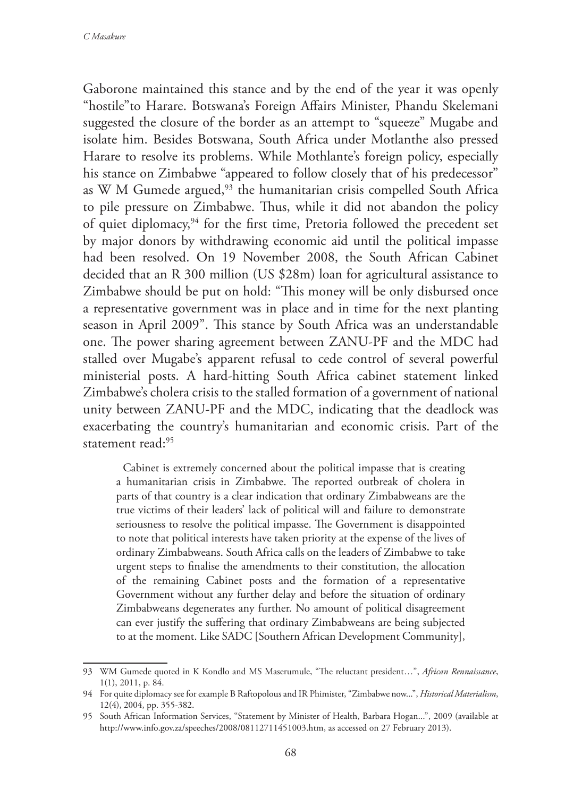Gaborone maintained this stance and by the end of the year it was openly "hostile"to Harare. Botswana's Foreign Affairs Minister, Phandu Skelemani suggested the closure of the border as an attempt to "squeeze" Mugabe and isolate him. Besides Botswana, South Africa under Motlanthe also pressed Harare to resolve its problems. While Mothlante's foreign policy, especially his stance on Zimbabwe "appeared to follow closely that of his predecessor" as W M Gumede argued,<sup>93</sup> the humanitarian crisis compelled South Africa to pile pressure on Zimbabwe. Thus, while it did not abandon the policy of quiet diplomacy,<sup>94</sup> for the first time, Pretoria followed the precedent set by major donors by withdrawing economic aid until the political impasse had been resolved. On 19 November 2008, the South African Cabinet decided that an R 300 million (US \$28m) loan for agricultural assistance to Zimbabwe should be put on hold: "This money will be only disbursed once a representative government was in place and in time for the next planting season in April 2009". This stance by South Africa was an understandable one. The power sharing agreement between ZANU-PF and the MDC had stalled over Mugabe's apparent refusal to cede control of several powerful ministerial posts. A hard-hitting South Africa cabinet statement linked Zimbabwe's cholera crisis to the stalled formation of a government of national unity between ZANU-PF and the MDC, indicating that the deadlock was exacerbating the country's humanitarian and economic crisis. Part of the statement read:95

Cabinet is extremely concerned about the political impasse that is creating a humanitarian crisis in Zimbabwe. The reported outbreak of cholera in parts of that country is a clear indication that ordinary Zimbabweans are the true victims of their leaders' lack of political will and failure to demonstrate seriousness to resolve the political impasse. The Government is disappointed to note that political interests have taken priority at the expense of the lives of ordinary Zimbabweans. South Africa calls on the leaders of Zimbabwe to take urgent steps to finalise the amendments to their constitution, the allocation of the remaining Cabinet posts and the formation of a representative Government without any further delay and before the situation of ordinary Zimbabweans degenerates any further. No amount of political disagreement can ever justify the suffering that ordinary Zimbabweans are being subjected to at the moment. Like SADC [Southern African Development Community],

<sup>93</sup> WM Gumede quoted in K Kondlo and MS Maserumule, "The reluctant president…", *African Rennaissance*, 1(1), 2011, p. 84.

<sup>94</sup> For quite diplomacy see for example B Raftopolous and IR Phimister, "Zimbabwe now...", *Historical Materialism*, 12(4), 2004, pp. 355-382.

<sup>95</sup> South African Information Services, "Statement by Minister of Health, Barbara Hogan...", 2009 (available at http://www.info.gov.za/speeches/2008/08112711451003.htm, as accessed on 27 February 2013).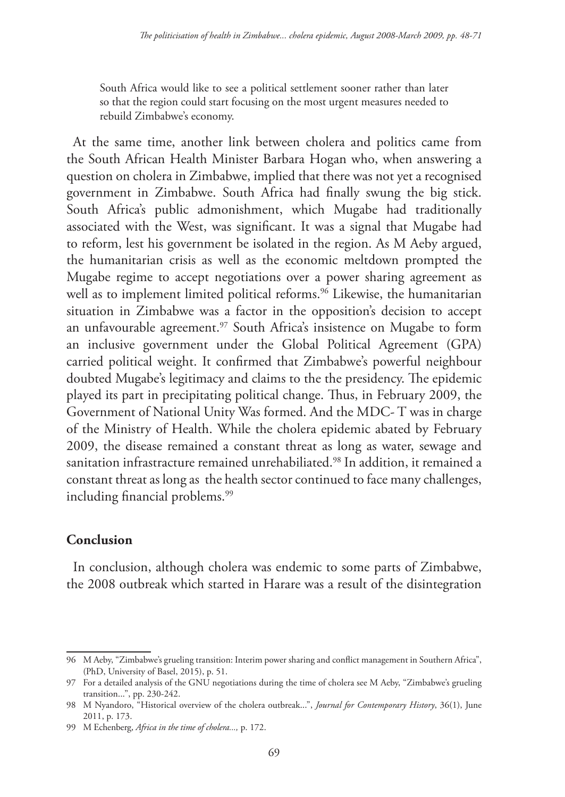South Africa would like to see a political settlement sooner rather than later so that the region could start focusing on the most urgent measures needed to rebuild Zimbabwe's economy.

At the same time, another link between cholera and politics came from the South African Health Minister Barbara Hogan who, when answering a question on cholera in Zimbabwe, implied that there was not yet a recognised government in Zimbabwe. South Africa had finally swung the big stick. South Africa's public admonishment, which Mugabe had traditionally associated with the West, was significant. It was a signal that Mugabe had to reform, lest his government be isolated in the region. As M Aeby argued, the humanitarian crisis as well as the economic meltdown prompted the Mugabe regime to accept negotiations over a power sharing agreement as well as to implement limited political reforms.<sup>96</sup> Likewise, the humanitarian situation in Zimbabwe was a factor in the opposition's decision to accept an unfavourable agreement.<sup>97</sup> South Africa's insistence on Mugabe to form an inclusive government under the Global Political Agreement (GPA) carried political weight. It confirmed that Zimbabwe's powerful neighbour doubted Mugabe's legitimacy and claims to the the presidency. The epidemic played its part in precipitating political change. Thus, in February 2009, the Government of National Unity Was formed. And the MDC- T was in charge of the Ministry of Health. While the cholera epidemic abated by February 2009, the disease remained a constant threat as long as water, sewage and sanitation infrastracture remained unrehabiliated.<sup>98</sup> In addition, it remained a constant threat as long as the health sector continued to face many challenges, including financial problems.<sup>99</sup>

## **Conclusion**

In conclusion, although cholera was endemic to some parts of Zimbabwe, the 2008 outbreak which started in Harare was a result of the disintegration

<sup>96</sup> M Aeby, "Zimbabwe's grueling transition: Interim power sharing and conflict management in Southern Africa", (PhD, University of Basel, 2015), p. 51.

<sup>97</sup> For a detailed analysis of the GNU negotiations during the time of cholera see M Aeby, "Zimbabwe's grueling transition...", pp. 230-242.

<sup>98</sup> M Nyandoro, "Historical overview of the cholera outbreak...", *Journal for Contemporary History*, 36(1), June 2011, p. 173.

<sup>99</sup> M Echenberg, *Africa in the time of cholera...,* p. 172.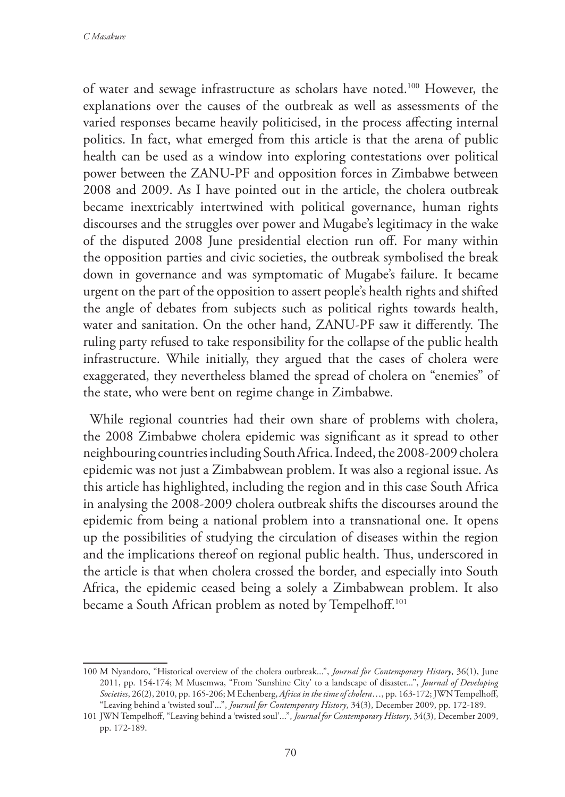of water and sewage infrastructure as scholars have noted.100 However, the explanations over the causes of the outbreak as well as assessments of the varied responses became heavily politicised, in the process affecting internal politics. In fact, what emerged from this article is that the arena of public health can be used as a window into exploring contestations over political power between the ZANU-PF and opposition forces in Zimbabwe between 2008 and 2009. As I have pointed out in the article, the cholera outbreak became inextricably intertwined with political governance, human rights discourses and the struggles over power and Mugabe's legitimacy in the wake of the disputed 2008 June presidential election run off. For many within the opposition parties and civic societies, the outbreak symbolised the break down in governance and was symptomatic of Mugabe's failure. It became urgent on the part of the opposition to assert people's health rights and shifted the angle of debates from subjects such as political rights towards health, water and sanitation. On the other hand, ZANU-PF saw it differently. The ruling party refused to take responsibility for the collapse of the public health infrastructure. While initially, they argued that the cases of cholera were exaggerated, they nevertheless blamed the spread of cholera on "enemies" of the state, who were bent on regime change in Zimbabwe.

While regional countries had their own share of problems with cholera, the 2008 Zimbabwe cholera epidemic was significant as it spread to other neighbouring countries including South Africa. Indeed, the 2008-2009 cholera epidemic was not just a Zimbabwean problem. It was also a regional issue. As this article has highlighted, including the region and in this case South Africa in analysing the 2008-2009 cholera outbreak shifts the discourses around the epidemic from being a national problem into a transnational one. It opens up the possibilities of studying the circulation of diseases within the region and the implications thereof on regional public health. Thus, underscored in the article is that when cholera crossed the border, and especially into South Africa, the epidemic ceased being a solely a Zimbabwean problem. It also became a South African problem as noted by Tempelhoff.<sup>101</sup>

<sup>100</sup> M Nyandoro, "Historical overview of the cholera outbreak...", *Journal for Contemporary History*, 36(1), June 2011, pp. 154-174; M Musemwa, "From 'Sunshine City' to a landscape of disaster...", *Journal of Developing Societies*, 26(2), 2010, pp. 165-206; M Echenberg, *Africa in the time of cholera*…, pp. 163-172; JWN Tempelhoff, "Leaving behind a 'twisted soul'...", *Journal for Contemporary History*, 34(3), December 2009, pp. 172-189.

<sup>101</sup> JWN Tempelhoff, "Leaving behind a 'twisted soul'...", *Journal for Contemporary History*, 34(3), December 2009, pp. 172-189.